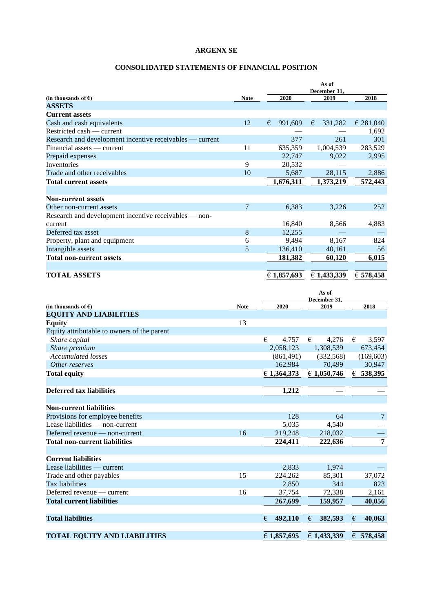### **CONSOLIDATED STATEMENTS OF FINANCIAL POSITION**

|                                                          |             |              | As of        |           |
|----------------------------------------------------------|-------------|--------------|--------------|-----------|
|                                                          |             |              | December 31, |           |
| (in thousands of $\epsilon$ )                            | <b>Note</b> | 2020         | 2019         | 2018      |
| <b>ASSETS</b>                                            |             |              |              |           |
| <b>Current assets</b>                                    |             |              |              |           |
| Cash and cash equivalents                                | 12          | 991,609<br>€ | 331,282<br>€ | € 281,040 |
| Restricted cash — current                                |             |              |              | 1,692     |
| Research and development incentive receivables — current |             | 377          | 261          | 301       |
| Financial assets — current                               | 11          | 635,359      | 1,004,539    | 283,529   |
| Prepaid expenses                                         |             | 22,747       | 9,022        | 2,995     |
| Inventories                                              | 9           | 20,532       |              |           |
| Trade and other receivables                              | 10          | 5,687        | 28,115       | 2,886     |
| <b>Total current assets</b>                              |             | 1,676,311    | 1,373,219    | 572,443   |
|                                                          |             |              |              |           |
| <b>Non-current assets</b>                                |             |              |              |           |
| Other non-current assets                                 | 7           | 6,383        | 3,226        | 252       |
| Research and development incentive receivables — non-    |             |              |              |           |
| current                                                  |             | 16,840       | 8,566        | 4,883     |
| Deferred tax asset                                       | 8           | 12,255       |              |           |
| Property, plant and equipment                            | 6           | 9,494        | 8,167        | 824       |
| Intangible assets                                        | 5           | 136,410      | 40,161       | 56        |
| <b>Total non-current assets</b>                          |             | 181,382      | 60,120       | 6,015     |
|                                                          |             |              |              |           |
| <b>TOTAL ASSETS</b>                                      |             | € 1,857,693  | € 1,433,339  | € 578,458 |

|                                             |             |              | As of<br>December 31, |                |
|---------------------------------------------|-------------|--------------|-----------------------|----------------|
| (in thousands of $\epsilon$ )               | <b>Note</b> | 2020         | 2019                  | 2018           |
| <b>EQUITY AND LIABILITIES</b>               |             |              |                       |                |
| <b>Equity</b>                               | 13          |              |                       |                |
| Equity attributable to owners of the parent |             |              |                       |                |
| Share capital                               |             | €<br>4,757   | €<br>4,276            | 3,597<br>€     |
| Share premium                               |             | 2,058,123    | 1,308,539             | 673,454        |
| <b>Accumulated losses</b>                   |             | (861, 491)   | (332, 568)            | (169, 603)     |
| Other reserves                              |             | 162,984      | 70,499                | 30,947         |
| <b>Total equity</b>                         |             | € 1,364,373  | € 1,050,746           | 6538,395       |
|                                             |             |              |                       |                |
| Deferred tax liabilities                    |             | 1,212        |                       |                |
|                                             |             |              |                       |                |
| <b>Non-current liabilities</b>              |             |              |                       |                |
| Provisions for employee benefits            |             | 128          | 64                    | $\tau$         |
| Lease liabilities — non-current             |             | 5,035        | 4,540                 |                |
| Deferred revenue — non-current              | 16          | 219,248      | 218,032               |                |
| <b>Total non-current liabilities</b>        |             | 224,411      | 222,636               | $\overline{7}$ |
|                                             |             |              |                       |                |
| <b>Current liabilities</b>                  |             |              |                       |                |
| Lease liabilities — current                 |             | 2.833        | 1.974                 |                |
| Trade and other payables                    | 15          | 224,262      | 85,301                | 37,072         |
| <b>Tax liabilities</b>                      |             | 2,850        | 344                   | 823            |
| Deferred revenue — current                  | 16          | 37,754       | 72,338                | 2,161          |
| <b>Total current liabilities</b>            |             | 267,699      | 159,957               | 40,056         |
|                                             |             |              |                       |                |
| <b>Total liabilities</b>                    |             | €<br>492,110 | 382,593<br>€          | €<br>40,063    |
|                                             |             |              |                       |                |
| <b>TOTAL EQUITY AND LIABILITIES</b>         |             | € 1,857,695  | € 1,433,339           | € 578,458      |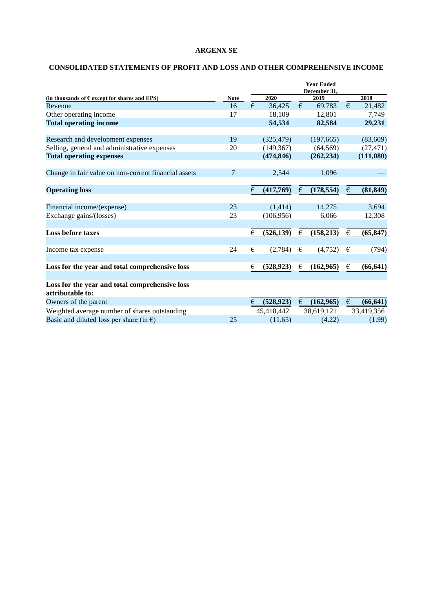# **CONSOLIDATED STATEMENTS OF PROFIT AND LOSS AND OTHER COMPREHENSIVE INCOME**

|                                                                    |             | <b>Year Ended</b><br>December 31, |            |   |            |                         |            |
|--------------------------------------------------------------------|-------------|-----------------------------------|------------|---|------------|-------------------------|------------|
| (in thousands of $\epsilon$ except for shares and EPS)             | <b>Note</b> |                                   | 2020       |   | 2019       |                         | 2018       |
| Revenue                                                            | 16          | €                                 | 36,425     | € | 69,783     | €                       | 21,482     |
| Other operating income                                             | 17          |                                   | 18,109     |   | 12,801     |                         | 7,749      |
| <b>Total operating income</b>                                      |             |                                   | 54,534     |   | 82,584     |                         | 29,231     |
| Research and development expenses                                  | 19          |                                   | (325, 479) |   | (197,665)  |                         | (83,609)   |
| Selling, general and administrative expenses                       | 20          |                                   | (149, 367) |   | (64, 569)  |                         | (27, 471)  |
| <b>Total operating expenses</b>                                    |             |                                   | (474, 846) |   | (262, 234) |                         | (111,080)  |
| Change in fair value on non-current financial assets               | 7           |                                   | 2,544      |   | 1,096      |                         |            |
| <b>Operating loss</b>                                              |             | €                                 | (417,769)  | € | (178, 554) | €                       | (81, 849)  |
| Financial income/(expense)                                         | 23          |                                   | (1,414)    |   | 14,275     |                         | 3,694      |
| Exchange gains/(losses)                                            | 23          |                                   | (106, 956) |   | 6,066      |                         | 12,308     |
| <b>Loss before taxes</b>                                           |             | €                                 | (526, 139) | € | (158, 213) | $\epsilon$              | (65, 847)  |
| Income tax expense                                                 | 24          | €                                 | (2,784)    | € | (4,752)    | €                       | (794)      |
| Loss for the year and total comprehensive loss                     |             | €                                 | (528, 923) | € | (162, 965) | $\boldsymbol{\epsilon}$ | (66, 641)  |
| Loss for the year and total comprehensive loss<br>attributable to: |             |                                   |            |   |            |                         |            |
| Owners of the parent                                               |             | €                                 | (528, 923) | € | (162, 965) | €                       | (66, 641)  |
| Weighted average number of shares outstanding                      |             |                                   | 45,410,442 |   | 38,619,121 |                         | 33,419,356 |
| Basic and diluted loss per share (in $\epsilon$ )                  | 25          |                                   | (11.65)    |   | (4.22)     |                         | (1.99)     |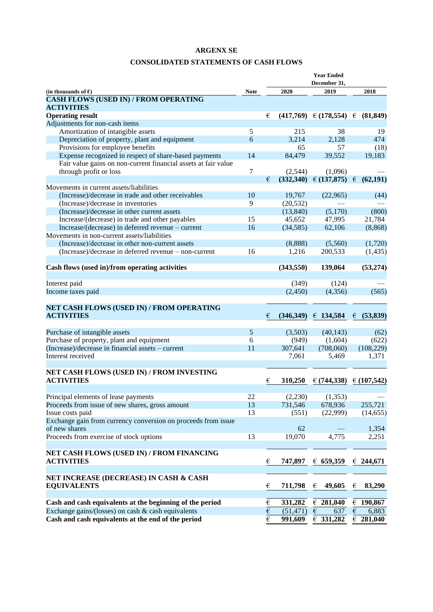### **CONSOLIDATED STATEMENTS OF CASH FLOWS**

|                                                                   |             | <b>Year Ended</b>       |            |                                        |            |                    |
|-------------------------------------------------------------------|-------------|-------------------------|------------|----------------------------------------|------------|--------------------|
|                                                                   |             |                         |            | December 31.                           |            |                    |
| (in thousands of $\epsilon$ )                                     | <b>Note</b> |                         | 2020       | 2019                                   |            | 2018               |
| <b>CASH FLOWS (USED IN) / FROM OPERATING</b><br><b>ACTIVITIES</b> |             |                         |            |                                        |            |                    |
| <b>Operating result</b>                                           |             | €                       |            | $(417,769) \in (178,554) \in (81,849)$ |            |                    |
| Adjustments for non-cash items                                    |             |                         |            |                                        |            |                    |
| Amortization of intangible assets                                 | 5           |                         | 215        | 38                                     |            | 19                 |
| Depreciation of property, plant and equipment                     | 6           |                         | 3,214      | 2,128                                  |            | 474                |
| Provisions for employee benefits                                  |             |                         | 65         | 57                                     |            | (18)               |
| Expense recognized in respect of share-based payments             | 14          |                         | 84,479     | 39,552                                 |            | 19,183             |
| Fair value gains on non-current financial assets at fair value    |             |                         |            |                                        |            |                    |
| through profit or loss                                            | 7           |                         | (2,544)    | (1,096)                                |            |                    |
|                                                                   |             | €                       |            | $(332,340) \in (137,875) \in$          |            | (62, 191)          |
| Movements in current assets/liabilities                           |             |                         |            |                                        |            |                    |
| (Increase)/decrease in trade and other receivables                | 10          |                         | 19,767     | (22,965)                               |            | (44)               |
| (Increase)/decrease in inventories                                | 9           |                         | (20, 532)  |                                        |            |                    |
| (Increase)/decrease in other current assets                       |             |                         | (13, 840)  | (5,170)                                |            | (800)              |
| Increase/(decrease) in trade and other payables                   | 15          |                         | 45,652     | 47,995                                 |            | 21,784             |
| Increase/(decrease) in deferred revenue - current                 | 16          |                         | (34,585)   | 62,106                                 |            | (8, 868)           |
| Movements in non-current assets/liabilities                       |             |                         |            |                                        |            |                    |
| (Increase)/decrease in other non-current assets                   |             |                         | (8,888)    | (5,560)                                |            | (1,720)            |
| (Increase)/decrease in deferred revenue – non-current             | 16          |                         | 1,216      | 200,533                                |            | (1, 435)           |
|                                                                   |             |                         |            |                                        |            |                    |
| Cash flows (used in)/from operating activities                    |             |                         | (343, 550) | 139,064                                |            | (53,274)           |
|                                                                   |             |                         |            |                                        |            |                    |
| Interest paid                                                     |             |                         | (349)      | (124)                                  |            |                    |
| Income taxes paid                                                 |             |                         | (2,450)    | (4, 356)                               |            | (565)              |
|                                                                   |             |                         |            |                                        |            |                    |
| NET CASH FLOWS (USED IN) / FROM OPERATING                         |             |                         |            |                                        |            |                    |
| <b>ACTIVITIES</b>                                                 |             | €                       | (346,349)  | € 134,584                              | €          | (53, 839)          |
|                                                                   |             |                         |            |                                        |            |                    |
| Purchase of intangible assets                                     | 5           |                         | (3,503)    | (40, 143)                              |            | (62)               |
| Purchase of property, plant and equipment                         | 6           |                         | (949)      | (1,604)                                |            | (622)              |
| (Increase)/decrease in financial assets - current                 | 11          |                         | 307,641    | (708,060)                              |            | (108, 229)         |
| Interest received                                                 |             |                         | 7,061      | 5,469                                  |            | 1,371              |
|                                                                   |             |                         |            |                                        |            |                    |
| NET CASH FLOWS (USED IN) / FROM INVESTING<br><b>ACTIVITIES</b>    |             | €                       | 310,250    | $\in (744, 338)$                       |            | $\in (107, 542)$   |
|                                                                   |             |                         |            |                                        |            |                    |
| Principal elements of lease payments                              | 22          |                         | (2,230)    | (1,353)                                |            |                    |
| Proceeds from issue of new shares, gross amount                   | 13          |                         | 731,546    | 678,936                                |            | 255,721            |
| Issue costs paid                                                  | 13          |                         | (551)      | (22,999)                               |            | (14, 655)          |
| Exchange gain from currency conversion on proceeds from issue     |             |                         |            |                                        |            |                    |
| of new shares                                                     |             |                         | 62         |                                        |            | 1,354              |
| Proceeds from exercise of stock options                           | 13          |                         | 19,070     | 4,775                                  |            | 2,251              |
|                                                                   |             |                         |            |                                        |            |                    |
| NET CASH FLOWS (USED IN) / FROM FINANCING                         |             |                         |            |                                        |            |                    |
| <b>ACTIVITIES</b>                                                 |             | €                       | 747,897    | 659,359                                |            | $\epsilon$ 244,671 |
|                                                                   |             |                         |            |                                        |            |                    |
| NET INCREASE (DECREASE) IN CASH & CASH                            |             |                         |            |                                        |            |                    |
| <b>EQUIVALENTS</b>                                                |             | €                       | 711,798    | 49,605<br>€                            | €          | 83,290             |
|                                                                   |             |                         |            |                                        |            |                    |
| Cash and cash equivalents at the beginning of the period          |             | $\boldsymbol{\epsilon}$ | 331,282    | $\epsilon$ 281,040                     | €          | 190,867            |
| Exchange gains/(losses) on cash & cash equivalents                |             | $\overline{\epsilon}$   | (51, 471)  | $\epsilon$<br>637                      | $\epsilon$ | 6,883              |
| Cash and cash equivalents at the end of the period                |             | $\overline{\epsilon}$   | 991,609    | 6331,282                               | $\in$      | 281,040            |